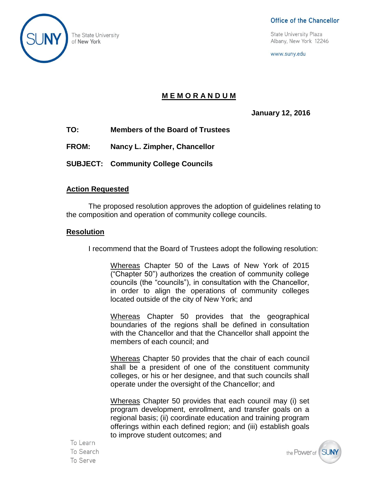

#### Office of the Chancellor

The State University<br>
of New York 12246<br>
of New York 12246

www.suny.edu

# **M E M O R A N D U M**

**January 12, 2016**

- **TO: Members of the Board of Trustees**
- **FROM: Nancy L. Zimpher, Chancellor**
- **SUBJECT: Community College Councils**

### **Action Requested**

The proposed resolution approves the adoption of guidelines relating to the composition and operation of community college councils.

#### **Resolution**

I recommend that the Board of Trustees adopt the following resolution:

Whereas Chapter 50 of the Laws of New York of 2015 ("Chapter 50") authorizes the creation of community college councils (the "councils"), in consultation with the Chancellor, in order to align the operations of community colleges located outside of the city of New York; and

Whereas Chapter 50 provides that the geographical boundaries of the regions shall be defined in consultation with the Chancellor and that the Chancellor shall appoint the members of each council; and

Whereas Chapter 50 provides that the chair of each council shall be a president of one of the constituent community colleges, or his or her designee, and that such councils shall operate under the oversight of the Chancellor; and

Whereas Chapter 50 provides that each council may (i) set program development, enrollment, and transfer goals on a regional basis; (ii) coordinate education and training program offerings within each defined region; and (iii) establish goals to improve student outcomes; and

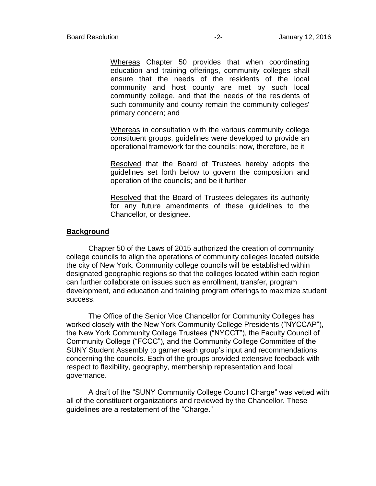Whereas Chapter 50 provides that when coordinating education and training offerings, community colleges shall ensure that the needs of the residents of the local community and host county are met by such local community college, and that the needs of the residents of such community and county remain the community colleges' primary concern; and

Whereas in consultation with the various community college constituent groups, guidelines were developed to provide an operational framework for the councils; now, therefore, be it

Resolved that the Board of Trustees hereby adopts the guidelines set forth below to govern the composition and operation of the councils; and be it further

Resolved that the Board of Trustees delegates its authority for any future amendments of these guidelines to the Chancellor, or designee.

#### **Background**

Chapter 50 of the Laws of 2015 authorized the creation of community college councils to align the operations of community colleges located outside the city of New York. Community college councils will be established within designated geographic regions so that the colleges located within each region can further collaborate on issues such as enrollment, transfer, program development, and education and training program offerings to maximize student success.

The Office of the Senior Vice Chancellor for Community Colleges has worked closely with the New York Community College Presidents ("NYCCAP"), the New York Community College Trustees ("NYCCT"), the Faculty Council of Community College ("FCCC"), and the Community College Committee of the SUNY Student Assembly to garner each group's input and recommendations concerning the councils. Each of the groups provided extensive feedback with respect to flexibility, geography, membership representation and local governance.

A draft of the "SUNY Community College Council Charge" was vetted with all of the constituent organizations and reviewed by the Chancellor. These guidelines are a restatement of the "Charge."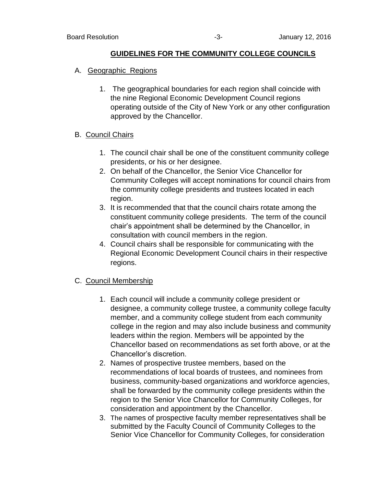#### **GUIDELINES FOR THE COMMUNITY COLLEGE COUNCILS**

- A. Geographic Regions
	- 1. The geographical boundaries for each region shall coincide with the nine Regional Economic Development Council regions operating outside of the City of New York or any other configuration approved by the Chancellor.

#### B. Council Chairs

- 1. The council chair shall be one of the constituent community college presidents, or his or her designee.
- 2. On behalf of the Chancellor, the Senior Vice Chancellor for Community Colleges will accept nominations for council chairs from the community college presidents and trustees located in each region.
- 3. It is recommended that that the council chairs rotate among the constituent community college presidents. The term of the council chair's appointment shall be determined by the Chancellor, in consultation with council members in the region.
- 4. Council chairs shall be responsible for communicating with the Regional Economic Development Council chairs in their respective regions.

### C. Council Membership

- 1. Each council will include a community college president or designee, a community college trustee, a community college faculty member, and a community college student from each community college in the region and may also include business and community leaders within the region. Members will be appointed by the Chancellor based on recommendations as set forth above, or at the Chancellor's discretion.
- 2. Names of prospective trustee members, based on the recommendations of local boards of trustees, and nominees from business, community-based organizations and workforce agencies, shall be forwarded by the community college presidents within the region to the Senior Vice Chancellor for Community Colleges, for consideration and appointment by the Chancellor.
- 3. The names of prospective faculty member representatives shall be submitted by the Faculty Council of Community Colleges to the Senior Vice Chancellor for Community Colleges, for consideration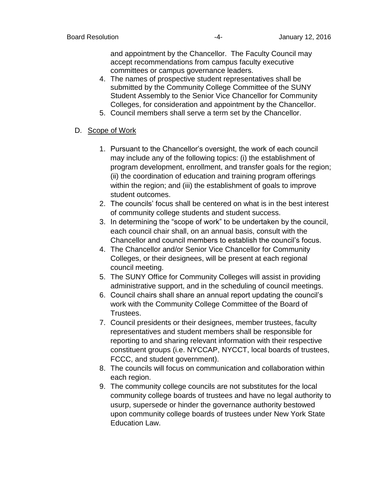and appointment by the Chancellor. The Faculty Council may accept recommendations from campus faculty executive committees or campus governance leaders.

- 4. The names of prospective student representatives shall be submitted by the Community College Committee of the SUNY Student Assembly to the Senior Vice Chancellor for Community Colleges, for consideration and appointment by the Chancellor.
- 5. Council members shall serve a term set by the Chancellor.

# D. Scope of Work

- 1. Pursuant to the Chancellor's oversight, the work of each council may include any of the following topics: (i) the establishment of program development, enrollment, and transfer goals for the region; (ii) the coordination of education and training program offerings within the region; and (iii) the establishment of goals to improve student outcomes.
- 2. The councils' focus shall be centered on what is in the best interest of community college students and student success.
- 3. In determining the "scope of work" to be undertaken by the council, each council chair shall, on an annual basis, consult with the Chancellor and council members to establish the council's focus.
- 4. The Chancellor and/or Senior Vice Chancellor for Community Colleges, or their designees, will be present at each regional council meeting.
- 5. The SUNY Office for Community Colleges will assist in providing administrative support, and in the scheduling of council meetings.
- 6. Council chairs shall share an annual report updating the council's work with the Community College Committee of the Board of Trustees.
- 7. Council presidents or their designees, member trustees, faculty representatives and student members shall be responsible for reporting to and sharing relevant information with their respective constituent groups (i.e. NYCCAP, NYCCT, local boards of trustees, FCCC, and student government).
- 8. The councils will focus on communication and collaboration within each region.
- 9. The community college councils are not substitutes for the local community college boards of trustees and have no legal authority to usurp, supersede or hinder the governance authority bestowed upon community college boards of trustees under New York State Education Law.